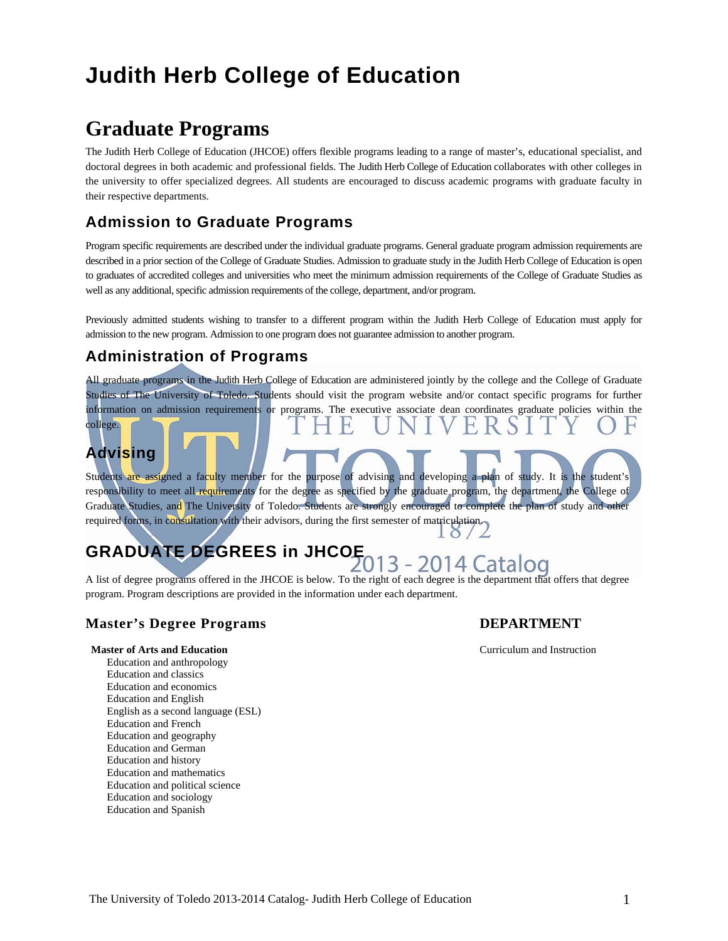# **Judith Herb College of Education**

# **Graduate Programs**

The Judith Herb College of Education (JHCOE) offers flexible programs leading to a range of master's, educational specialist, and doctoral degrees in both academic and professional fields. The Judith Herb College of Education collaborates with other colleges in the university to offer specialized degrees. All students are encouraged to discuss academic programs with graduate faculty in their respective departments.

## **Admission to Graduate Programs**

Program specific requirements are described under the individual graduate programs. General graduate program admission requirements are described in a prior section of the College of Graduate Studies. Admission to graduate study in the Judith Herb College of Education is open to graduates of accredited colleges and universities who meet the minimum admission requirements of the College of Graduate Studies as well as any additional, specific admission requirements of the college, department, and/or program.

Previously admitted students wishing to transfer to a different program within the Judith Herb College of Education must apply for admission to the new program. Admission to one program does not guarantee admission to another program.

## **Administration of Programs**

All graduate programs in the Judith Herb College of Education are administered jointly by the college and the College of Graduate Studies of The University of Toledo. Students should visit the program website and/or contact specific programs for further information on admission requirements or programs. The executive associate dean coordinates graduate policies within the college.

## **Advising**

Students are assigned a faculty member for the purpose of advising and developing a plan of study. It is the student's responsibility to meet all requirements for the degree as specified by the graduate program, the department, the College of Graduate Studies, and The University of Toledo. Students are strongly encouraged to complete the plan of study and other required forms, in consultation with their advisors, during the first semester of matriculation.

# **GRADUATE DEGREES in JHCOE** 2013 - 2014 Catalog

A list of degree programs offered in the JHCOE is below. To the right of each degree is the department that offers that degree program. Program descriptions are provided in the information under each department.

### **Master's Degree Programs DEPARTMENT**

 $10/2$ 

#### **Master of Arts and Education Curriculum and Instruction Curriculum and Instruction**

 Education and anthropology Education and classics Education and economics Education and English English as a second language (ESL) Education and French Education and geography Education and German Education and history Education and mathematics Education and political science Education and sociology Education and Spanish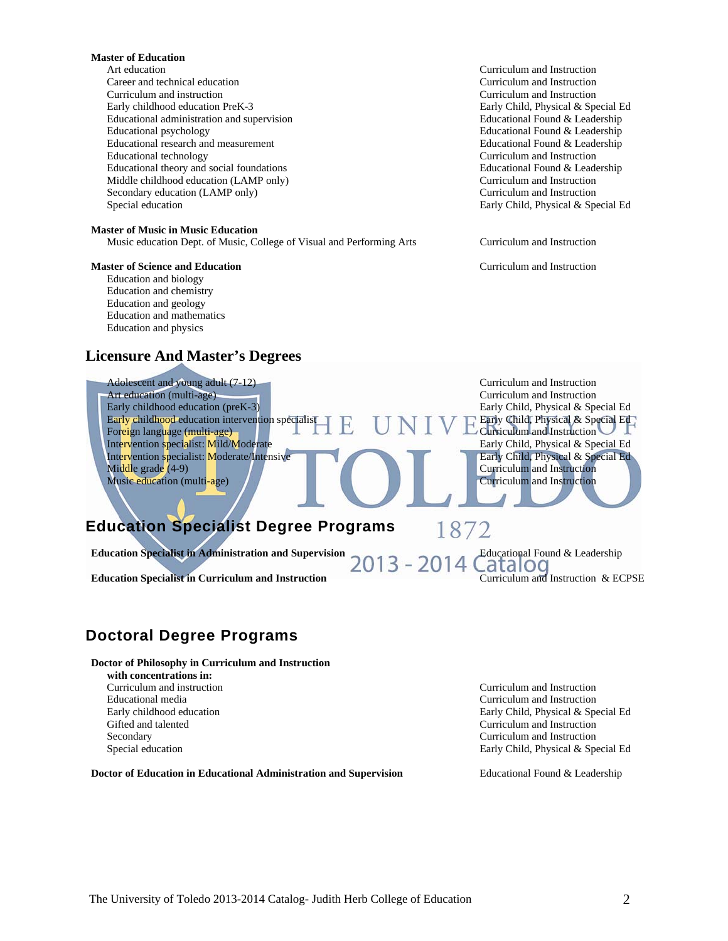#### **Master of Education**

 Art education Curriculum and Instruction Career and technical education Curriculum and Instruction Curriculum and instruction Curriculum and Instruction Early childhood education PreK-3 Early Child, Physical & Special Ed Educational administration and supervision Educational Found & Leadership Educational psychology Educational Found & Leadership Educational research and measurement Educational Found & Leadership Educational technology Curriculum and Instruction Educational theory and social foundations Educational Found & Leadership Middle childhood education (LAMP only) Curriculum and Instruction Secondary education (LAMP only) Curriculum and Instruction Special education Early Child, Physical & Special Ed

#### **Master of Music in Music Education**

Music education Dept. of Music, College of Visual and Performing Arts Curriculum and Instruction

#### **Master of Science and Education Curriculum and Instruction Curriculum and Instruction**

 Education and biology Education and chemistry Education and geology Education and mathematics Education and physics

### **Licensure And Master's Degrees**



### **Doctoral Degree Programs**

**Doctor of Philosophy in Curriculum and Instruction** 

 **with concentrations in:** Educational media Curriculum and Instruction Gifted and talented Curriculum and Instruction Secondary Curriculum and Instruction

**Doctor of Education in Educational Administration and Supervision Frequence Educational Found & Leadership** 

 Curriculum and instruction Curriculum and Instruction Early childhood education Early Child, Physical & Special Ed Special education Early Child, Physical & Special Ed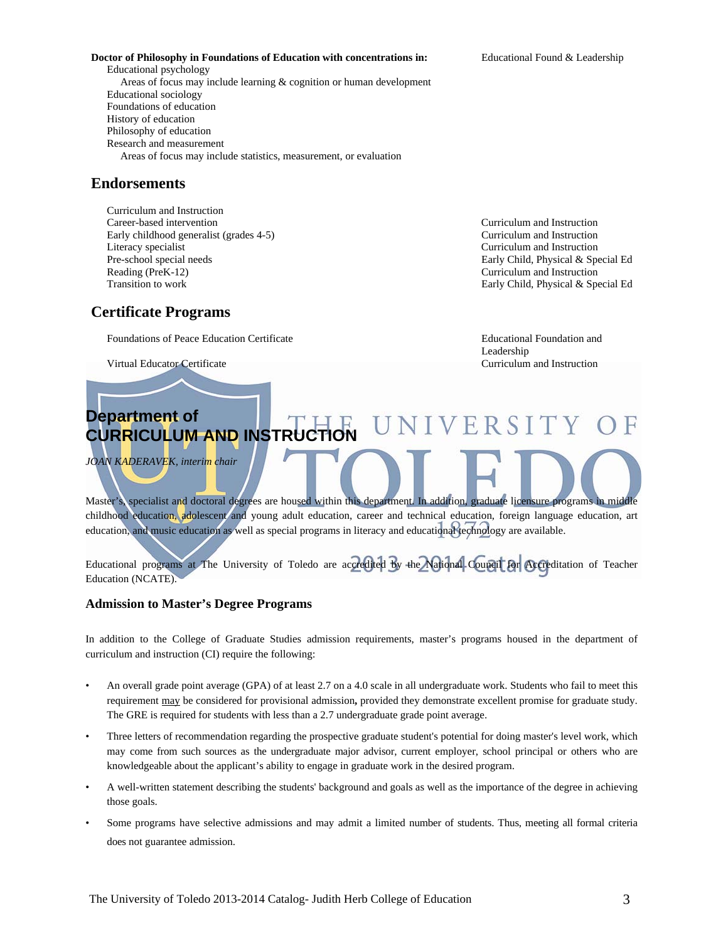#### **Doctor of Philosophy in Foundations of Education with concentrations in:** Educational Found & Leadership

 Educational psychology Areas of focus may include learning & cognition or human development Educational sociology Foundations of education History of education Philosophy of education Research and measurement Areas of focus may include statistics, measurement, or evaluation

### **Endorsements**

 Curriculum and Instruction Career-based intervention Curriculum and Instruction Early childhood generalist (grades 4-5) Curriculum and Instruction Literacy specialist Curriculum and Instruction Pre-school special needs Early Child, Physical & Special Ed Reading (PreK-12) Curriculum and Instruction Transition to work **Early Child, Physical & Special Ed** 

### **Certificate Programs**

Foundations of Peace Education Certificate **Education** Educational Foundation and

Virtual Educator Certificate Curriculum and Instruction

l

Leadership

### **Department of** ERSIT **CURRICULUM AND INSTRUCTION**

*JOAN KADERAVEK, interim chair* 

Master's, specialist and doctoral degrees are housed within this department. In addition, graduate licensure programs in middle childhood education, adolescent and young adult education, career and technical education, foreign language education, art education, and music education as well as special programs in literacy and educational technology are available.

Educational programs at The University of Toledo are accredited by the National Council for Accreditation of Teacher Education (NCATE).

### **Admission to Master's Degree Programs**

In addition to the College of Graduate Studies admission requirements, master's programs housed in the department of curriculum and instruction (CI) require the following:

- An overall grade point average (GPA) of at least 2.7 on a 4.0 scale in all undergraduate work. Students who fail to meet this requirement may be considered for provisional admission**,** provided they demonstrate excellent promise for graduate study. The GRE is required for students with less than a 2.7 undergraduate grade point average.
- Three letters of recommendation regarding the prospective graduate student's potential for doing master's level work, which may come from such sources as the undergraduate major advisor, current employer, school principal or others who are knowledgeable about the applicant's ability to engage in graduate work in the desired program.
- A well-written statement describing the students' background and goals as well as the importance of the degree in achieving those goals.
- Some programs have selective admissions and may admit a limited number of students. Thus, meeting all formal criteria does not guarantee admission.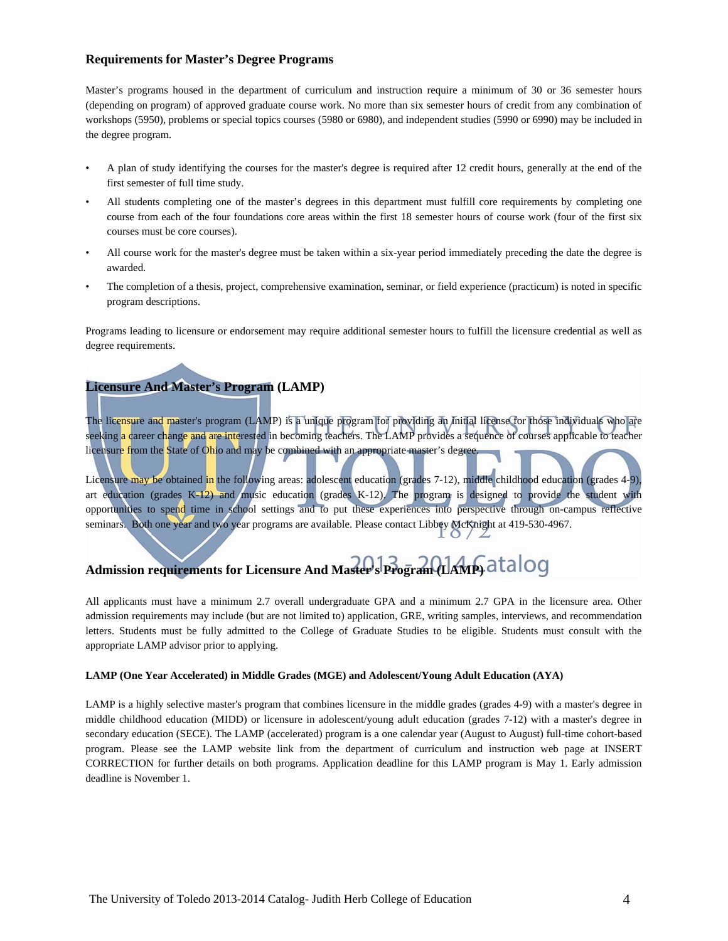#### **Requirements for Master's Degree Programs**

Master's programs housed in the department of curriculum and instruction require a minimum of 30 or 36 semester hours (depending on program) of approved graduate course work. No more than six semester hours of credit from any combination of workshops (5950), problems or special topics courses (5980 or 6980), and independent studies (5990 or 6990) may be included in the degree program.

- A plan of study identifying the courses for the master's degree is required after 12 credit hours, generally at the end of the first semester of full time study.
- All students completing one of the master's degrees in this department must fulfill core requirements by completing one course from each of the four foundations core areas within the first 18 semester hours of course work (four of the first six courses must be core courses).
- All course work for the master's degree must be taken within a six-year period immediately preceding the date the degree is awarded.
- The completion of a thesis, project, comprehensive examination, seminar, or field experience (practicum) is noted in specific program descriptions.

Programs leading to licensure or endorsement may require additional semester hours to fulfill the licensure credential as well as degree requirements.

### **Licensure And Master's Program (LAMP)**

The licensure and master's program (LAMP) is a unique program for providing an initial license for those individuals who are seeking a career change and are interested in becoming teachers. The LAMP provides a sequence of courses applicable to teacher licensure from the State of Ohio and may be combined with an appropriate master's degree.

Licensure may be obtained in the following areas: adolescent education (grades 7-12), middle childhood education (grades 4-9), art education (grades K-12) and music education (grades K-12). The program is designed to provide the student with opportunities to spend time in school settings and to put these experiences into perspective through on-campus reflective seminars. Both one year and two year programs are available. Please contact Libbey McKnight at 419-530-4967.

# **Admission requirements for Licensure And Master's Program (LAMP)**

All applicants must have a minimum 2.7 overall undergraduate GPA and a minimum 2.7 GPA in the licensure area. Other admission requirements may include (but are not limited to) application, GRE, writing samples, interviews, and recommendation letters. Students must be fully admitted to the College of Graduate Studies to be eligible. Students must consult with the appropriate LAMP advisor prior to applying.

#### **LAMP (One Year Accelerated) in Middle Grades (MGE) and Adolescent/Young Adult Education (AYA)**

LAMP is a highly selective master's program that combines licensure in the middle grades (grades 4-9) with a master's degree in middle childhood education (MIDD) or licensure in adolescent/young adult education (grades 7-12) with a master's degree in secondary education (SECE). The LAMP (accelerated) program is a one calendar year (August to August) full-time cohort-based program. Please see the LAMP website link from the department of curriculum and instruction web page at INSERT CORRECTION for further details on both programs. Application deadline for this LAMP program is May 1. Early admission deadline is November 1.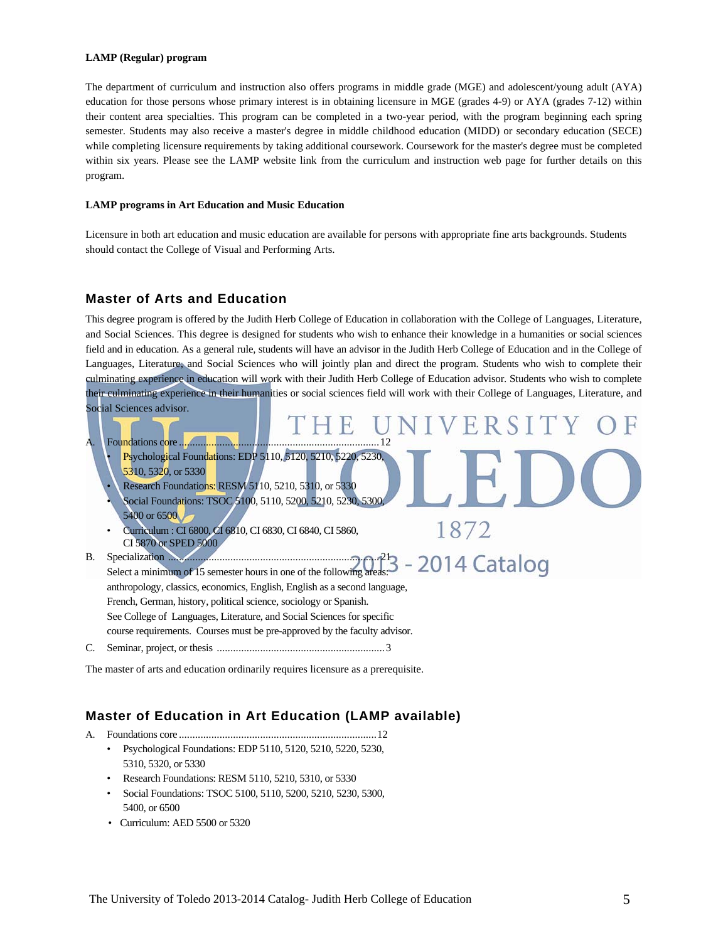#### **LAMP (Regular) program**

The department of curriculum and instruction also offers programs in middle grade (MGE) and adolescent/young adult (AYA) education for those persons whose primary interest is in obtaining licensure in MGE (grades 4-9) or AYA (grades 7-12) within their content area specialties. This program can be completed in a two-year period, with the program beginning each spring semester. Students may also receive a master's degree in middle childhood education (MIDD) or secondary education (SECE) while completing licensure requirements by taking additional coursework. Coursework for the master's degree must be completed within six years. Please see the LAMP website link from the curriculum and instruction web page for further details on this program.

#### **LAMP programs in Art Education and Music Education**

Licensure in both art education and music education are available for persons with appropriate fine arts backgrounds. Students should contact the College of Visual and Performing Arts.

#### **Master of Arts and Education**

This degree program is offered by the Judith Herb College of Education in collaboration with the College of Languages, Literature, and Social Sciences. This degree is designed for students who wish to enhance their knowledge in a humanities or social sciences field and in education. As a general rule, students will have an advisor in the Judith Herb College of Education and in the College of Languages, Literature, and Social Sciences who will jointly plan and direct the program. Students who wish to complete their culminating experience in education will work with their Judith Herb College of Education advisor. Students who wish to complete their culminating experience in their humanities or social sciences field will work with their College of Languages, Literature, and Social Sciences advisor. E R Foundations core ........... • Psychological Foundations: EDP 5110, 5120, 5210, 5220, 5230, 5310, 5320, or 5330 • Research Foundations: RESM 5110, 5210, 5310, or 5330 • Social Foundations: TSOC 5100, 5110, 5200, 5210, 5230, 5300, 5400 or 6500 1872 • Curriculum : CI 6800, CI 6810, CI 6830, CI 6840, CI 5860, CI 5870 or SPED 5000 B. Specialization .............................................................................. 21 Select a minimum of 15 semester hours in one of the following areas: anthropology, classics, economics, English, English as a second language, French, German, history, political science, sociology or Spanish. See College of Languages, Literature, and Social Sciences for specific course requirements. Courses must be pre-approved by the faculty advisor. C. Seminar, project, or thesis .............................................................. 3

The master of arts and education ordinarily requires licensure as a prerequisite.

### **Master of Education in Art Education (LAMP available)**

- A. Foundations core ......................................................................... 12
	- Psychological Foundations: EDP 5110, 5120, 5210, 5220, 5230, 5310, 5320, or 5330
	- Research Foundations: RESM 5110, 5210, 5310, or 5330
	- Social Foundations: TSOC 5100, 5110, 5200, 5210, 5230, 5300, 5400, or 6500
	- Curriculum: AED 5500 or 5320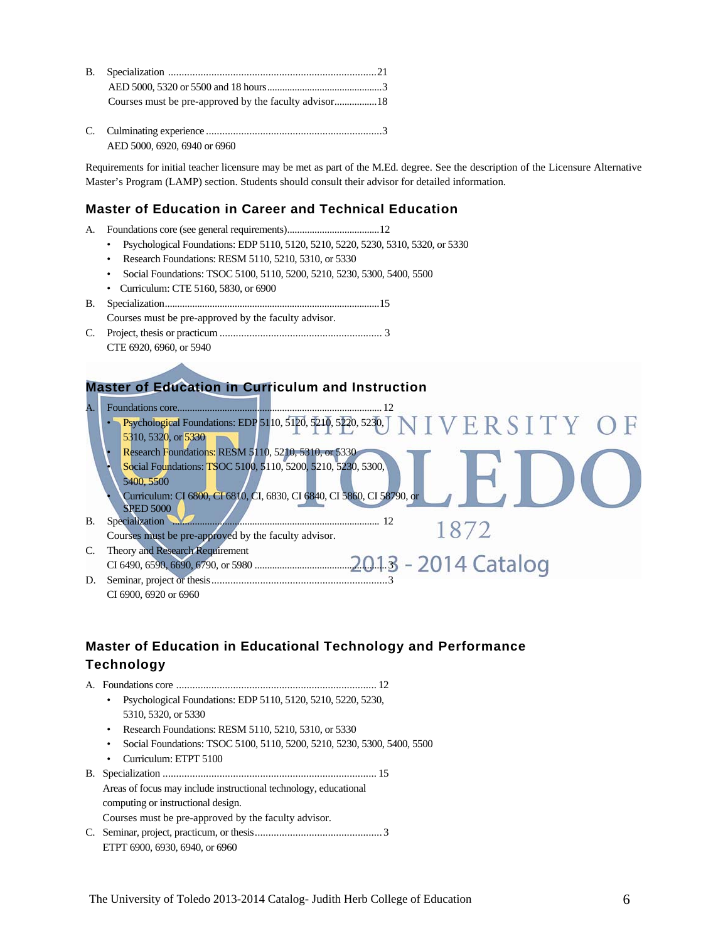AED 5000, 6920, 6940 or 6960

Requirements for initial teacher licensure may be met as part of the M.Ed. degree. See the description of the Licensure Alternative Master's Program (LAMP) section. Students should consult their advisor for detailed information.

### **Master of Education in Career and Technical Education**

- A. Foundations core (see general requirements) ..................................... 12
	- Psychological Foundations: EDP 5110, 5120, 5210, 5220, 5230, 5310, 5320, or 5330
	- Research Foundations: RESM 5110, 5210, 5310, or 5330
	- Social Foundations: TSOC 5100, 5110, 5200, 5210, 5230, 5300, 5400, 5500
	- Curriculum: CTE 5160, 5830, or 6900
- B. Specialization ...................................................................................... 15 Courses must be pre-approved by the faculty advisor.
- C. Project, thesis or practicum ............................................................ 3 CTE 6920, 6960, or 5940

### **Master of Education in Curriculum and Instruction**

| A.        | Foundations core                                                                                            |
|-----------|-------------------------------------------------------------------------------------------------------------|
|           | Psychological Foundations: EDP 5110, 5120, 5210, 5220, 5230, J N I V E R S I T Y O F<br>5310, 5320, or 5330 |
|           | Research Foundations: RESM 5110, 5210, 5310, or 5330                                                        |
|           | Social Foundations: TSOC 5100, 5110, 5200, 5210, 5230, 5300,<br>5400, 5500                                  |
|           | Curriculum: CI 6800, CI 6810, CI, 6830, CI 6840, CI 5860, CI 58790, or<br><b>SPED 5000</b>                  |
| <b>B.</b> | Specialization                                                                                              |
|           | 8/2<br>Courses must be pre-approved by the faculty advisor.                                                 |
| C.        | <b>Theory and Research Requirement</b>                                                                      |
| D.        | Seminar, project or thesis<br>CI 6900, 6920 or 6960                                                         |

### **Master of Education in Educational Technology and Performance Technology**

A. Foundations core .......................................................................... 12 • Psychological Foundations: EDP 5110, 5120, 5210, 5220, 5230, 5310, 5320, or 5330 • Research Foundations: RESM 5110, 5210, 5310, or 5330 • Social Foundations: TSOC 5100, 5110, 5200, 5210, 5230, 5300, 5400, 5500 • Curriculum: ETPT 5100 B. Specialization ............................................................................... 15 Areas of focus may include instructional technology, educational computing or instructional design. Courses must be pre-approved by the faculty advisor. C. Seminar, project, practicum, or thesis ............................................... 3 ETPT 6900, 6930, 6940, or 6960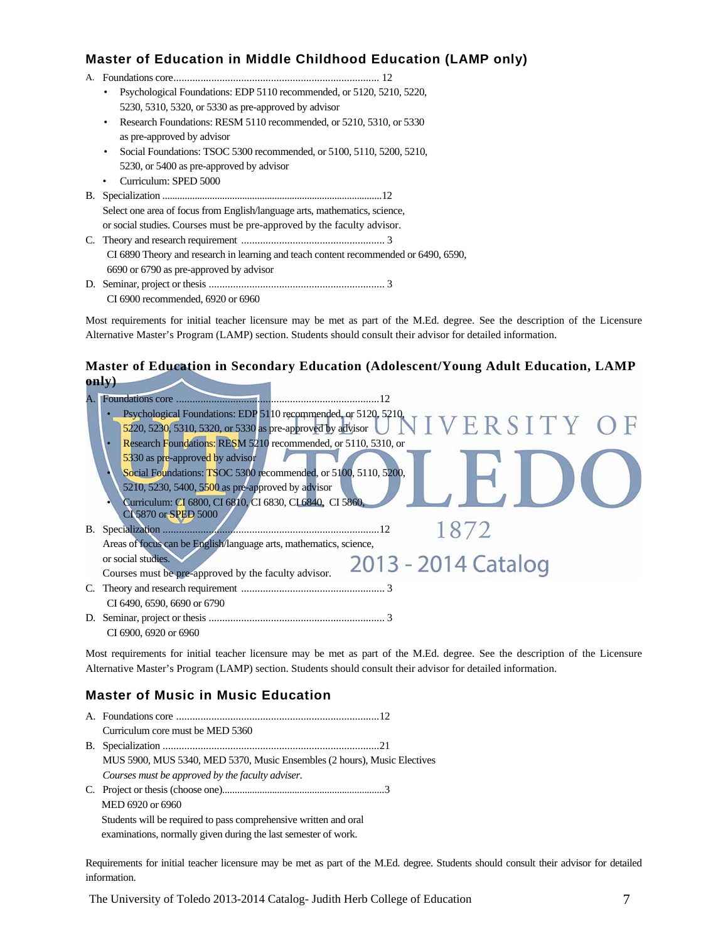### **Master of Education in Middle Childhood Education (LAMP only)**

|    | <u>. 2000au - 111 1110au - 11110au - 1100au - 1</u>                                  |
|----|--------------------------------------------------------------------------------------|
| А. |                                                                                      |
|    | Psychological Foundations: EDP 5110 recommended, or 5120, 5210, 5220,<br>٠           |
|    | 5230, 5310, 5320, or 5330 as pre-approved by advisor                                 |
|    | Research Foundations: RESM 5110 recommended, or 5210, 5310, or 5330<br>٠             |
|    | as pre-approved by advisor                                                           |
|    | Social Foundations: TSOC 5300 recommended, or 5100, 5110, 5200, 5210,<br>٠           |
|    | 5230, or 5400 as pre-approved by advisor                                             |
|    | Curriculum: SPED 5000<br>٠                                                           |
| В. |                                                                                      |
|    | Select one area of focus from English/language arts, mathematics, science,           |
|    | or social studies. Courses must be pre-approved by the faculty advisor.              |
|    |                                                                                      |
|    | CI 6890 Theory and research in learning and teach content recommended or 6490, 6590, |
|    | 6690 or 6790 as pre-approved by advisor                                              |
|    |                                                                                      |
|    | CI 6900 recommended, 6920 or 6960                                                    |

Most requirements for initial teacher licensure may be met as part of the M.Ed. degree. See the description of the Licensure Alternative Master's Program (LAMP) section. Students should consult their advisor for detailed information.

### **Master of Education in Secondary Education (Adolescent/Young Adult Education, LAMP only)**

|    | Foundations core                                                                                                                              |
|----|-----------------------------------------------------------------------------------------------------------------------------------------------|
|    | Psychological Foundations: EDP 5110 recommended, or 5120, 5210,<br>NIVERSITY OF<br>5220, 5230, 5310, 5320, or 5330 as pre-approved by advisor |
|    | Research Foundations: RESM 5210 recommended, or 5110, 5310, or<br>$\bullet$                                                                   |
|    | 5330 as pre-approved by advisor<br>Social Foundations: TSOC 5300 recommended, or 5100, 5110, 5200,                                            |
|    | 5210, 5230, 5400, 5500 as pre-approved by advisor<br>Curriculum: CI 6800, CI 6810, CI 6830, CI 6840, CI 5860,<br>CI 5870 or SPED 5000         |
| B. |                                                                                                                                               |
|    | Areas of focus can be English/language arts, mathematics, science,                                                                            |
|    | or social studies.<br>2013 - 2014 Catalog                                                                                                     |
|    | Courses must be pre-approved by the faculty advisor.                                                                                          |
| C. |                                                                                                                                               |
|    | CI 6490, 6590, 6690 or 6790                                                                                                                   |
| D. |                                                                                                                                               |
|    | CI 6900, 6920 or 6960                                                                                                                         |

Most requirements for initial teacher licensure may be met as part of the M.Ed. degree. See the description of the Licensure Alternative Master's Program (LAMP) section. Students should consult their advisor for detailed information.

### **Master of Music in Music Education**

| Curriculum core must be MED 5360                                         |
|--------------------------------------------------------------------------|
|                                                                          |
| MUS 5900, MUS 5340, MED 5370, Music Ensembles (2 hours), Music Electives |
| Courses must be approved by the faculty adviser.                         |
|                                                                          |
| MED 6920 or 6960                                                         |
| Students will be required to pass comprehensive written and oral         |

examinations, normally given during the last semester of work.

Requirements for initial teacher licensure may be met as part of the M.Ed. degree. Students should consult their advisor for detailed information.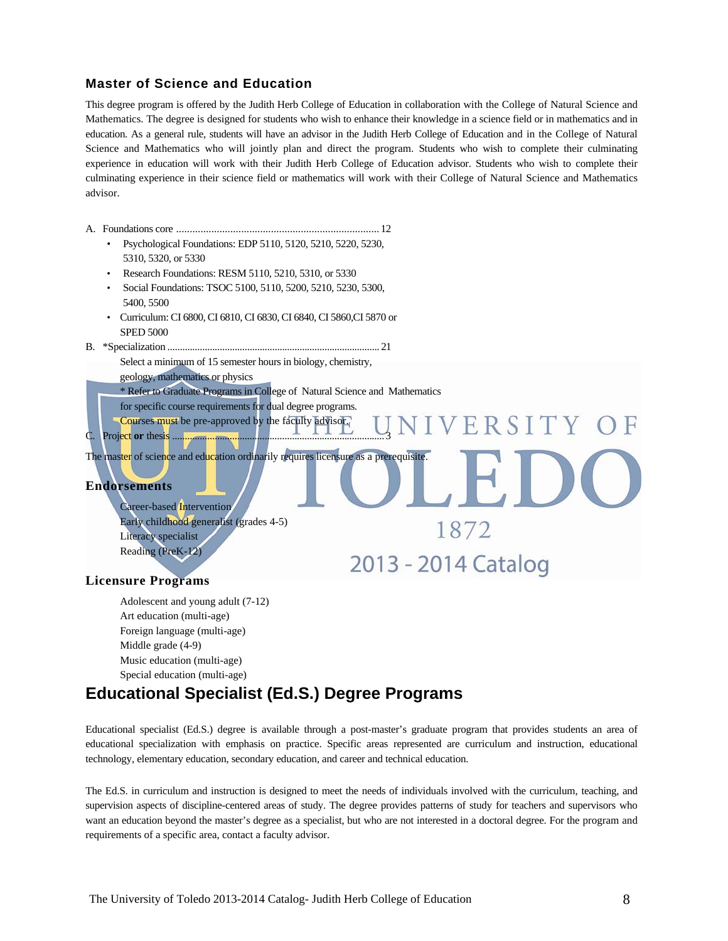### **Master of Science and Education**

This degree program is offered by the Judith Herb College of Education in collaboration with the College of Natural Science and Mathematics. The degree is designed for students who wish to enhance their knowledge in a science field or in mathematics and in education. As a general rule, students will have an advisor in the Judith Herb College of Education and in the College of Natural Science and Mathematics who will jointly plan and direct the program. Students who wish to complete their culminating experience in education will work with their Judith Herb College of Education advisor. Students who wish to complete their culminating experience in their science field or mathematics will work with their College of Natural Science and Mathematics advisor.

- A. Foundations core ........................................................................... 12
	- Psychological Foundations: EDP 5110, 5120, 5210, 5220, 5230, 5310, 5320, or 5330
	- Research Foundations: RESM 5110, 5210, 5310, or 5330
	- Social Foundations: TSOC 5100, 5110, 5200, 5210, 5230, 5300, 5400, 5500
	- Curriculum: CI 6800, CI 6810, CI 6830, CI 6840, CI 5860,CI 5870 or SPED 5000
- B. \*Specialization ..................................................................................... 21
	- Select a minimum of 15 semester hours in biology, chemistry,
		- geology, mathematics or physics
		- \* Refer to Graduate Programs in College of Natural Science and Mathematics
	- for specific course requirements for dual degree programs.
- Courses must be pre-approved by the faculty advisor. C. Project **or** thesis ..................................................................................... 3

The master of science and education ordinarily requires licensure as a prerequisite.

#### **Endorsements**

 Career-based Intervention Early childhood generalist (grades 4-5) Literacy specialist Reading (PreK-12)

2013 - 2014 Catalog

1872

### **Licensure Programs**

Adolescent and young adult (7-12) Art education (multi-age) Foreign language (multi-age) Middle grade (4-9) Music education (multi-age) Special education (multi-age)

## **Educational Specialist (Ed.S.) Degree Programs**

Educational specialist (Ed.S.) degree is available through a post-master's graduate program that provides students an area of educational specialization with emphasis on practice. Specific areas represented are curriculum and instruction, educational technology, elementary education, secondary education, and career and technical education.

The Ed.S. in curriculum and instruction is designed to meet the needs of individuals involved with the curriculum, teaching, and supervision aspects of discipline-centered areas of study. The degree provides patterns of study for teachers and supervisors who want an education beyond the master's degree as a specialist, but who are not interested in a doctoral degree. For the program and requirements of a specific area, contact a faculty advisor.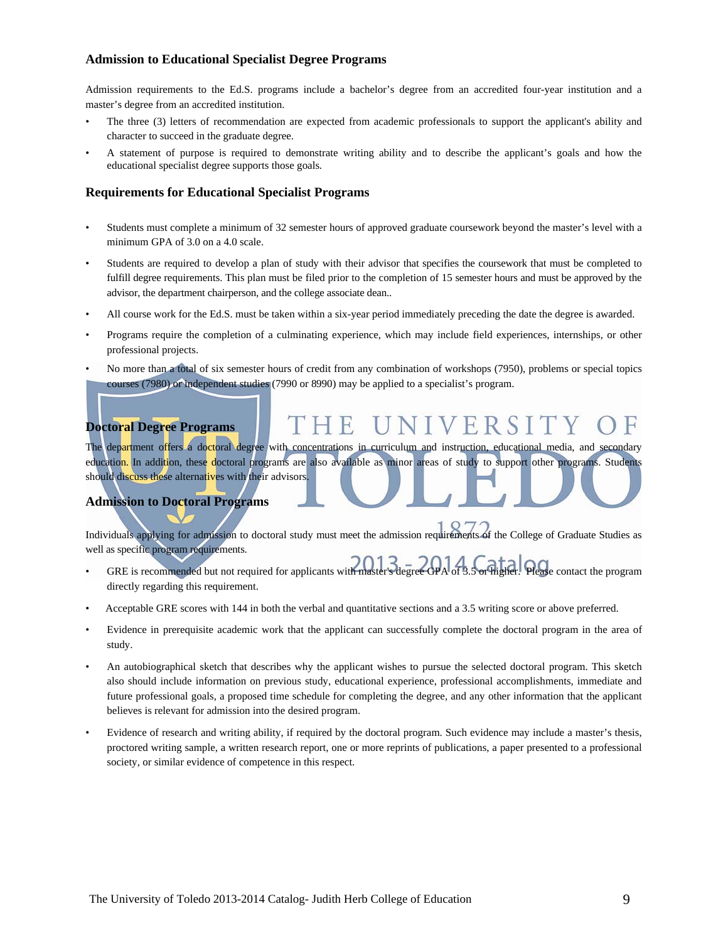### **Admission to Educational Specialist Degree Programs**

Admission requirements to the Ed.S. programs include a bachelor's degree from an accredited four-year institution and a master's degree from an accredited institution.

- The three (3) letters of recommendation are expected from academic professionals to support the applicant's ability and character to succeed in the graduate degree.
- A statement of purpose is required to demonstrate writing ability and to describe the applicant's goals and how the educational specialist degree supports those goals.

#### **Requirements for Educational Specialist Programs**

- Students must complete a minimum of 32 semester hours of approved graduate coursework beyond the master's level with a minimum GPA of 3.0 on a 4.0 scale.
- Students are required to develop a plan of study with their advisor that specifies the coursework that must be completed to fulfill degree requirements. This plan must be filed prior to the completion of 15 semester hours and must be approved by the advisor, the department chairperson, and the college associate dean..
- All course work for the Ed.S. must be taken within a six-year period immediately preceding the date the degree is awarded.
- Programs require the completion of a culminating experience, which may include field experiences, internships, or other professional projects.
- No more than a total of six semester hours of credit from any combination of workshops (7950), problems or special topics courses (7980) or independent studies (7990 or 8990) may be applied to a specialist's program.

#### Ħ VERSI **Doctoral Degree Programs**

The department offers a doctoral degree with concentrations in curriculum and instruction, educational media, and secondary education. In addition, these doctoral programs are also available as minor areas of study to support other programs. Students should discuss these alternatives with their advisors.

### **Admission to Doctoral Programs**

Individuals applying for admission to doctoral study must meet the admission requirements of the College of Graduate Studies as well as specific program requirements.

- GRE is recommended but not required for applicants with master's degree GPA of 3.5 or higher. Please contact the program directly regarding this requirement.
- Acceptable GRE scores with 144 in both the verbal and quantitative sections and a 3.5 writing score or above preferred.
- Evidence in prerequisite academic work that the applicant can successfully complete the doctoral program in the area of study.
- An autobiographical sketch that describes why the applicant wishes to pursue the selected doctoral program. This sketch also should include information on previous study, educational experience, professional accomplishments, immediate and future professional goals, a proposed time schedule for completing the degree, and any other information that the applicant believes is relevant for admission into the desired program.
- Evidence of research and writing ability, if required by the doctoral program. Such evidence may include a master's thesis, proctored writing sample, a written research report, one or more reprints of publications, a paper presented to a professional society, or similar evidence of competence in this respect.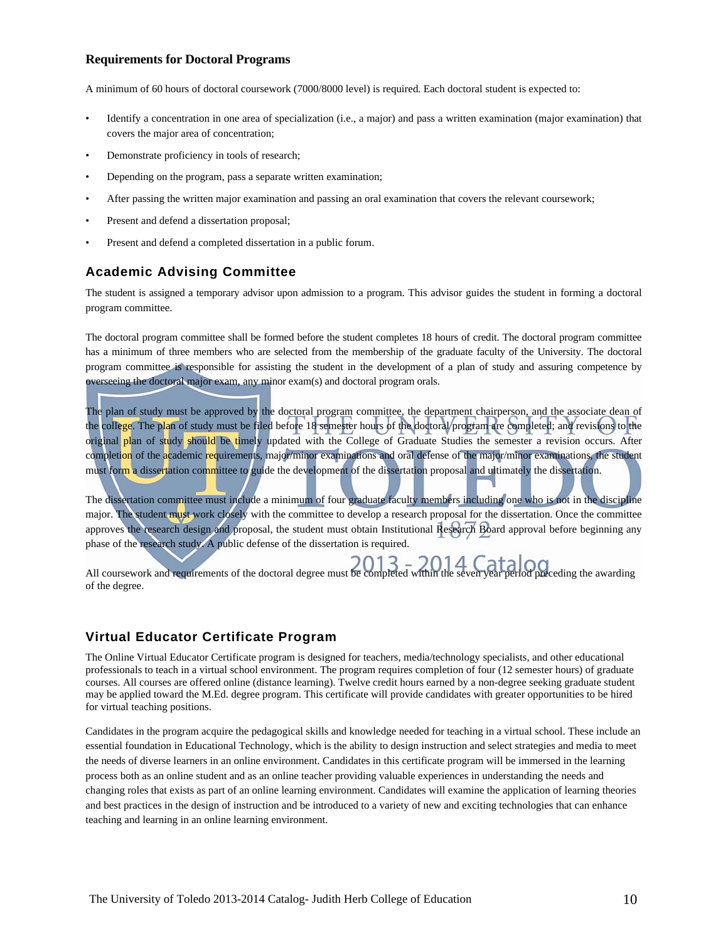#### **Requirements for Doctoral Programs**

A minimum of 60 hours of doctoral coursework (7000/8000 level) is required. Each doctoral student is expected to:

- Identify a concentration in one area of specialization (i.e., a major) and pass a written examination (major examination) that covers the major area of concentration;
- Demonstrate proficiency in tools of research;
- Depending on the program, pass a separate written examination;
- After passing the written major examination and passing an oral examination that covers the relevant coursework;
- Present and defend a dissertation proposal;
- Present and defend a completed dissertation in a public forum.

#### **Academic Advising Committee**

The student is assigned a temporary advisor upon admission to a program. This advisor guides the student in forming a doctoral program committee.

The doctoral program committee shall be formed before the student completes 18 hours of credit. The doctoral program committee has a minimum of three members who are selected from the membership of the graduate faculty of the University. The doctoral program committee is responsible for assisting the student in the development of a plan of study and assuring competence by overseeing the doctoral major exam, any minor exam(s) and doctoral program orals.

The plan of study must be approved by the doctoral program committee, the department chairperson, and the associate dean of the college. The plan of study must be filed before 18 semester hours of the doctoral program are completed; and revisions to the original plan of study should be timely updated with the College of Graduate Studies the semester a revision occurs. After completion of the academic requirements, major/minor examinations and oral defense of the major/minor examinations, the student must form a dissertation committee to guide the development of the dissertation proposal and ultimately the dissertation.

The dissertation committee must include a minimum of four graduate faculty members including one who is not in the discipline major. The student must work closely with the committee to develop a research proposal for the dissertation. Once the committee approves the research design and proposal, the student must obtain Institutional Research Board approval before beginning any phase of the research study. A public defense of the dissertation is required.

All coursework and requirements of the doctoral degree must be completed within the seven year period preceding the awarding of the degree.

#### **Virtual Educator Certificate Program**

The Online Virtual Educator Certificate program is designed for teachers, media/technology specialists, and other educational professionals to teach in a virtual school environment. The program requires completion of four (12 semester hours) of graduate courses. All courses are offered online (distance learning). Twelve credit hours earned by a non-degree seeking graduate student may be applied toward the M.Ed. degree program. This certificate will provide candidates with greater opportunities to be hired for virtual teaching positions.

Candidates in the program acquire the pedagogical skills and knowledge needed for teaching in a virtual school. These include an essential foundation in Educational Technology, which is the ability to design instruction and select strategies and media to meet the needs of diverse learners in an online environment. Candidates in this certificate program will be immersed in the learning process both as an online student and as an online teacher providing valuable experiences in understanding the needs and changing roles that exists as part of an online learning environment. Candidates will examine the application of learning theories and best practices in the design of instruction and be introduced to a variety of new and exciting technologies that can enhance teaching and learning in an online learning environment.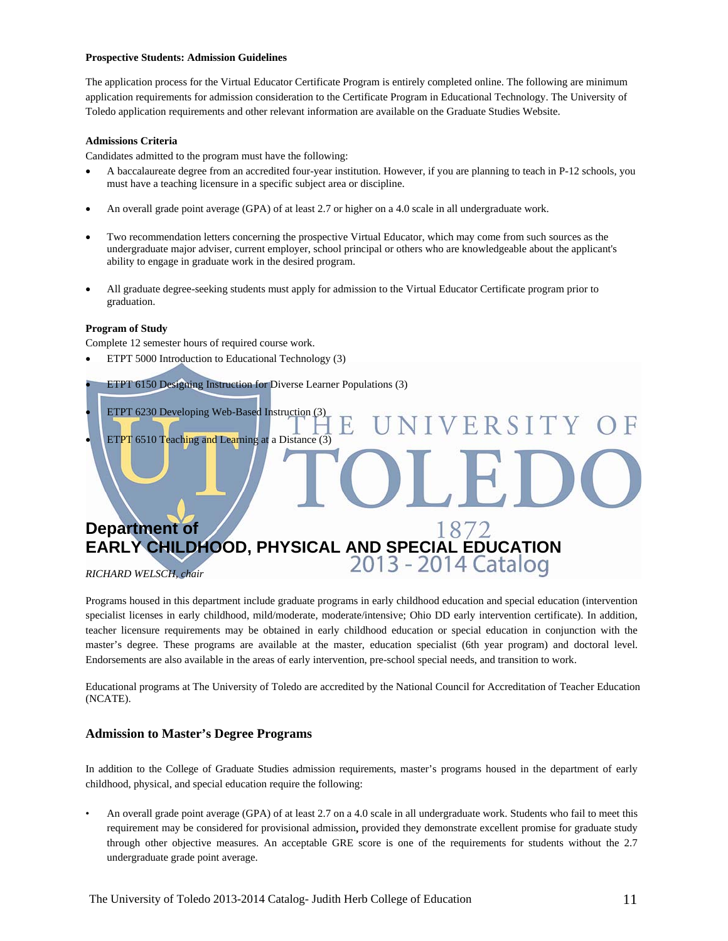#### **Prospective Students: Admission Guidelines**

The application process for the Virtual Educator Certificate Program is entirely completed online. The following are minimum application requirements for admission consideration to the Certificate Program in Educational Technology. The University of Toledo application requirements and other relevant information are available on the Graduate Studies Website.

#### **Admissions Criteria**

Candidates admitted to the program must have the following:

- A baccalaureate degree from an accredited four-year institution. However, if you are planning to teach in P-12 schools, you must have a teaching licensure in a specific subject area or discipline.
- An overall grade point average (GPA) of at least 2.7 or higher on a 4.0 scale in all undergraduate work.
- Two recommendation letters concerning the prospective Virtual Educator, which may come from such sources as the undergraduate major adviser, current employer, school principal or others who are knowledgeable about the applicant's ability to engage in graduate work in the desired program.
- All graduate degree-seeking students must apply for admission to the Virtual Educator Certificate program prior to graduation.

#### **Program of Study**

Complete 12 semester hours of required course work.

- ETPT 5000 Introduction to Educational Technology (3)
- ETPT 6150 Designing Instruction for Diverse Learner Populations (3)
- ETPT 6230 Developing Web-Based Instruction (3) VERSITY
- ETPT 6510 Teaching and Learning at a Distance (3)

# **Department of EARLY CHILDHOOD, PHYSICAL AND SPECIAL EDUCATION**

*RICHARD WELSCH, chair* 

Programs housed in this department include graduate programs in early childhood education and special education (intervention specialist licenses in early childhood, mild/moderate, moderate/intensive; Ohio DD early intervention certificate). In addition, teacher licensure requirements may be obtained in early childhood education or special education in conjunction with the master's degree. These programs are available at the master, education specialist (6th year program) and doctoral level. Endorsements are also available in the areas of early intervention, pre-school special needs, and transition to work.

Educational programs at The University of Toledo are accredited by the National Council for Accreditation of Teacher Education (NCATE).

#### **Admission to Master's Degree Programs**

In addition to the College of Graduate Studies admission requirements, master's programs housed in the department of early childhood, physical, and special education require the following:

• An overall grade point average (GPA) of at least 2.7 on a 4.0 scale in all undergraduate work. Students who fail to meet this requirement may be considered for provisional admission**,** provided they demonstrate excellent promise for graduate study through other objective measures. An acceptable GRE score is one of the requirements for students without the 2.7 undergraduate grade point average.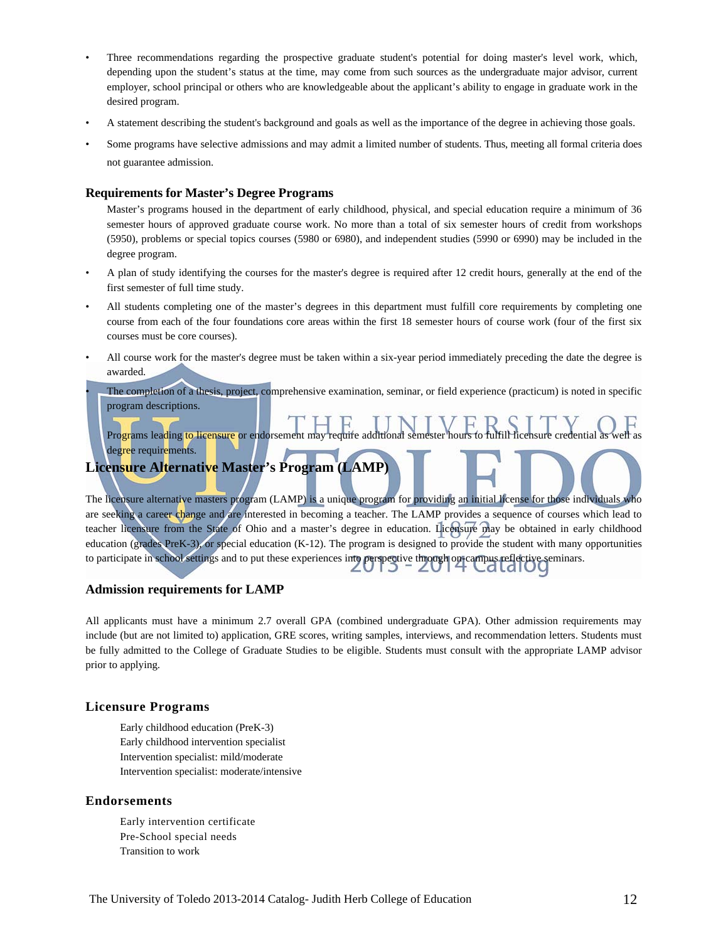- Three recommendations regarding the prospective graduate student's potential for doing master's level work, which, depending upon the student's status at the time, may come from such sources as the undergraduate major advisor, current employer, school principal or others who are knowledgeable about the applicant's ability to engage in graduate work in the desired program.
- A statement describing the student's background and goals as well as the importance of the degree in achieving those goals.
- Some programs have selective admissions and may admit a limited number of students. Thus, meeting all formal criteria does not guarantee admission.

#### **Requirements for Master's Degree Programs**

 Master's programs housed in the department of early childhood, physical, and special education require a minimum of 36 semester hours of approved graduate course work. No more than a total of six semester hours of credit from workshops (5950), problems or special topics courses (5980 or 6980), and independent studies (5990 or 6990) may be included in the degree program.

- A plan of study identifying the courses for the master's degree is required after 12 credit hours, generally at the end of the first semester of full time study.
- All students completing one of the master's degrees in this department must fulfill core requirements by completing one course from each of the four foundations core areas within the first 18 semester hours of course work (four of the first six courses must be core courses).
- All course work for the master's degree must be taken within a six-year period immediately preceding the date the degree is awarded.

• The completion of a thesis, project, comprehensive examination, seminar, or field experience (practicum) is noted in specific program descriptions.

Programs leading to licensure or endorsement may require additional semester hours to fulfill licensure credential as well as degree requirements.

### **Licensure Alternative Master's Program (LAMP)**

The licensure alternative masters program (LAMP) is a unique program for providing an initial license for those individuals who are seeking a career change and are interested in becoming a teacher. The LAMP provides a sequence of courses which lead to teacher licensure from the State of Ohio and a master's degree in education. Licensure may be obtained in early childhood education (grades PreK-3), or special education (K-12). The program is designed to provide the student with many opportunities to participate in school settings and to put these experiences into perspective through on-campus reflective seminars.

#### **Admission requirements for LAMP**

All applicants must have a minimum 2.7 overall GPA (combined undergraduate GPA). Other admission requirements may include (but are not limited to) application, GRE scores, writing samples, interviews, and recommendation letters. Students must be fully admitted to the College of Graduate Studies to be eligible. Students must consult with the appropriate LAMP advisor prior to applying.

#### **Licensure Programs**

Early childhood education (PreK-3) Early childhood intervention specialist Intervention specialist: mild/moderate Intervention specialist: moderate/intensive

#### **Endorsements**

 Early intervention certificate Pre-School special needs Transition to work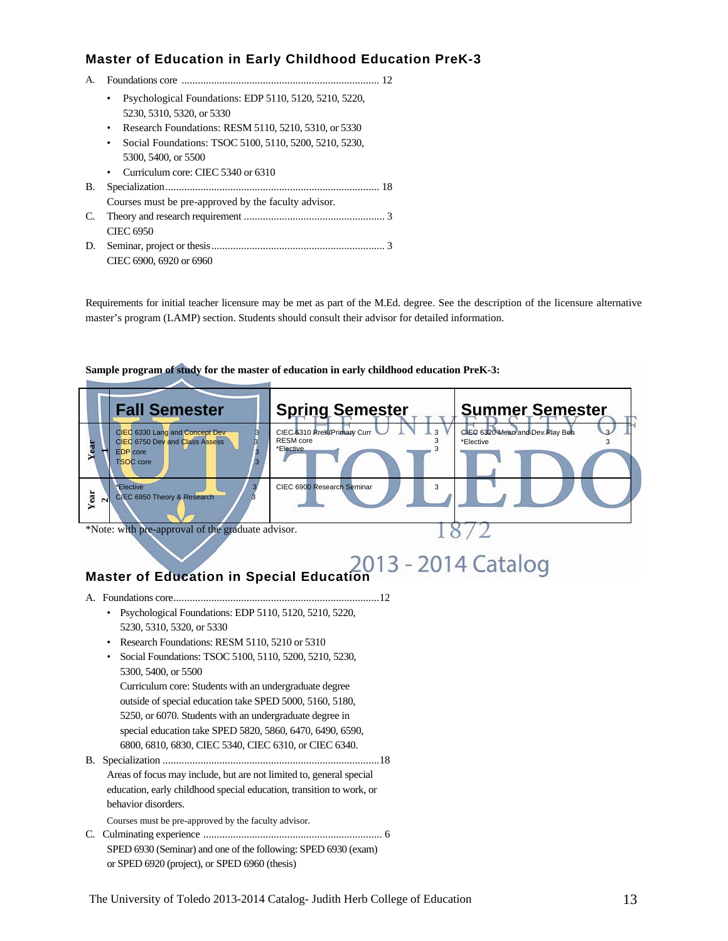### **Master of Education in Early Childhood Education PreK-3**

- A. Foundations core ......................................................................... 12 • Psychological Foundations: EDP 5110, 5120, 5210, 5220,
	- 5230, 5310, 5320, or 5330
	- Research Foundations: RESM 5110, 5210, 5310, or 5330
	- Social Foundations: TSOC 5100, 5110, 5200, 5210, 5230, 5300, 5400, or 5500
	- Curriculum core: CIEC 5340 or 6310
- B. Specialization ............................................................................... 18
- Courses must be pre-approved by the faculty advisor*.* C. Theory and research requirement .................................................... 3
- CIEC 6950 D. Seminar, project or thesis ................................................................ 3 CIEC 6900, 6920 or 6960

Requirements for initial teacher licensure may be met as part of the M.Ed. degree. See the description of the licensure alternative master's program (LAMP) section. Students should consult their advisor for detailed information.

### **Fall Semester Spring Semester Level Summer Semester Year 1**CIEC 6330 Lang and Concept Dev 3<br>CIEC 6750 Dev and Class Assess 3<br>EDP core EDP core TSOC core **3** 3 CIEC 6310 PreK/Primary Curr  $\cup$   $\cdots$   $\cdots$   $\cdots$ RESM core 3<br>\*Elective 3<br>3  $E$  Elective CIEC 6320 M  $E$ lective **Year 2 \*Elective**<br>CIEC 6950 Theory & Research 3 CIEC 6900 Research Seminar 3 \*Note: with pre-approval of the graduate advisor. **Master of Education in Special Education**  A. Foundations core ............................................................................ 12 • Psychological Foundations: EDP 5110, 5120, 5210, 5220, 5230, 5310, 5320, or 5330 • Research Foundations: RESM 5110, 5210 or 5310 • Social Foundations: TSOC 5100, 5110, 5200, 5210, 5230, 5300, 5400, or 5500 Curriculum core: Students with an undergraduate degree outside of special education take SPED 5000, 5160, 5180, 5250, or 6070. Students with an undergraduate degree in special education take SPED 5820, 5860, 6470, 6490, 6590, 6800, 6810, 6830, CIEC 5340, CIEC 6310, or CIEC 6340. B. Specialization ................................................................................ 18 Areas of focus may include, but are not limited to, general special education, early childhood special education, transition to work, or behavior disorders. Courses must be pre-approved by the faculty advisor*.*  C. Culminating experience .................................................................. 6 SPED 6930 (Seminar) and one of the following: SPED 6930 (exam) or SPED 6920 (project), or SPED 6960 (thesis)

#### **Sample program of study for the master of education in early childhood education PreK-3:**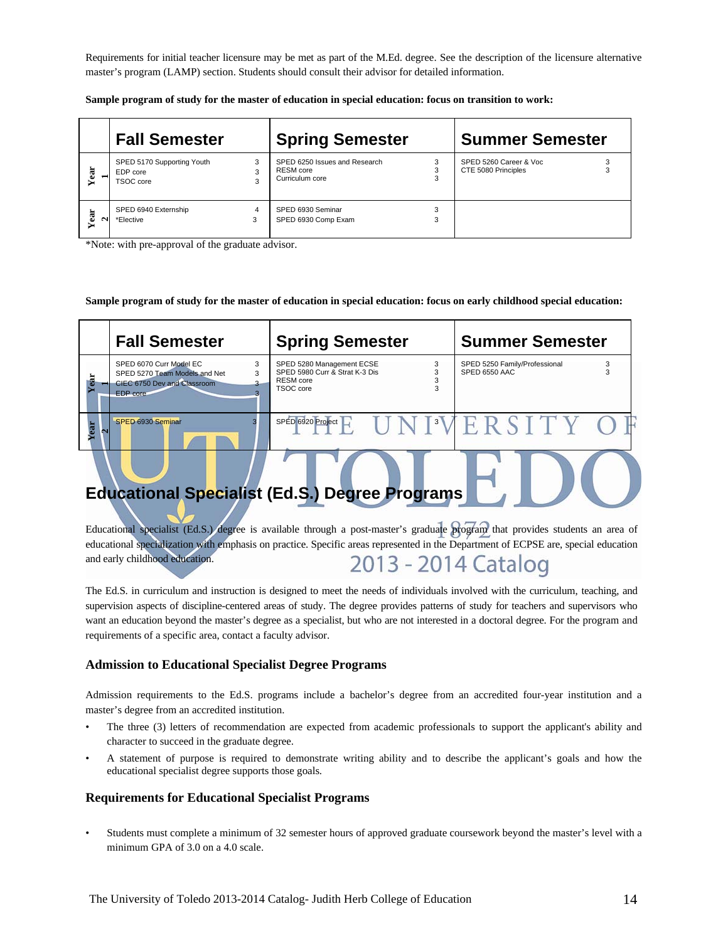Requirements for initial teacher licensure may be met as part of the M.Ed. degree. See the description of the licensure alternative master's program (LAMP) section. Students should consult their advisor for detailed information.

|             | <b>Fall Semester</b>                                |             | <b>Spring Semester</b>                                               |        | <b>Summer Semester</b>                        |
|-------------|-----------------------------------------------------|-------------|----------------------------------------------------------------------|--------|-----------------------------------------------|
| Year        | SPED 5170 Supporting Youth<br>EDP core<br>TSOC core | 3<br>3<br>3 | SPED 6250 Issues and Research<br><b>RESM</b> core<br>Curriculum core | 3<br>3 | SPED 5260 Career & Voc<br>CTE 5080 Principles |
| ä<br>N<br>➤ | SPED 6940 Externship<br>*Elective                   | 4<br>3      | SPED 6930 Seminar<br>SPED 6930 Comp Exam                             | 3<br>3 |                                               |

**Sample program of study for the master of education in special education: focus on transition to work:** 

\*Note: with pre-approval of the graduate advisor.

#### **Sample program of study for the master of education in special education: focus on early childhood special education:**

|                                                       | <b>Fall Semester</b>                                                                                     | <b>Spring Semester</b>                                                                     | <b>Summer Semester</b>                              |  |
|-------------------------------------------------------|----------------------------------------------------------------------------------------------------------|--------------------------------------------------------------------------------------------|-----------------------------------------------------|--|
| B                                                     | SPED 6070 Curr Model EC<br>3<br>SPED 5270 Team Models and Net<br>CIEC 6750 Dev and Classroom<br>EDP core | SPED 5280 Management ECSE<br>3<br>SPED 5980 Curr & Strat K-3 Dis<br>RESM core<br>TSOC core | SPED 5250 Family/Professional<br>3<br>SPED 6550 AAC |  |
| ear                                                   | SPED 6930 Seminar                                                                                        | SPED 6920 Project                                                                          | UNIMERSITY O                                        |  |
| <b>Educational Specialist (Ed.S.) Degree Programs</b> |                                                                                                          |                                                                                            |                                                     |  |

Educational specialist (Ed.S.) degree is available through a post-master's graduate program that provides students an area of educational specialization with emphasis on practice. Specific areas represented in the Department of ECPSE are, special education and early childhood education. 2013 - 2014 Catalog

The Ed.S. in curriculum and instruction is designed to meet the needs of individuals involved with the curriculum, teaching, and supervision aspects of discipline-centered areas of study. The degree provides patterns of study for teachers and supervisors who want an education beyond the master's degree as a specialist, but who are not interested in a doctoral degree. For the program and requirements of a specific area, contact a faculty advisor.

#### **Admission to Educational Specialist Degree Programs**

Admission requirements to the Ed.S. programs include a bachelor's degree from an accredited four-year institution and a master's degree from an accredited institution.

- The three (3) letters of recommendation are expected from academic professionals to support the applicant's ability and character to succeed in the graduate degree.
- A statement of purpose is required to demonstrate writing ability and to describe the applicant's goals and how the educational specialist degree supports those goals.

### **Requirements for Educational Specialist Programs**

• Students must complete a minimum of 32 semester hours of approved graduate coursework beyond the master's level with a minimum GPA of 3.0 on a 4.0 scale.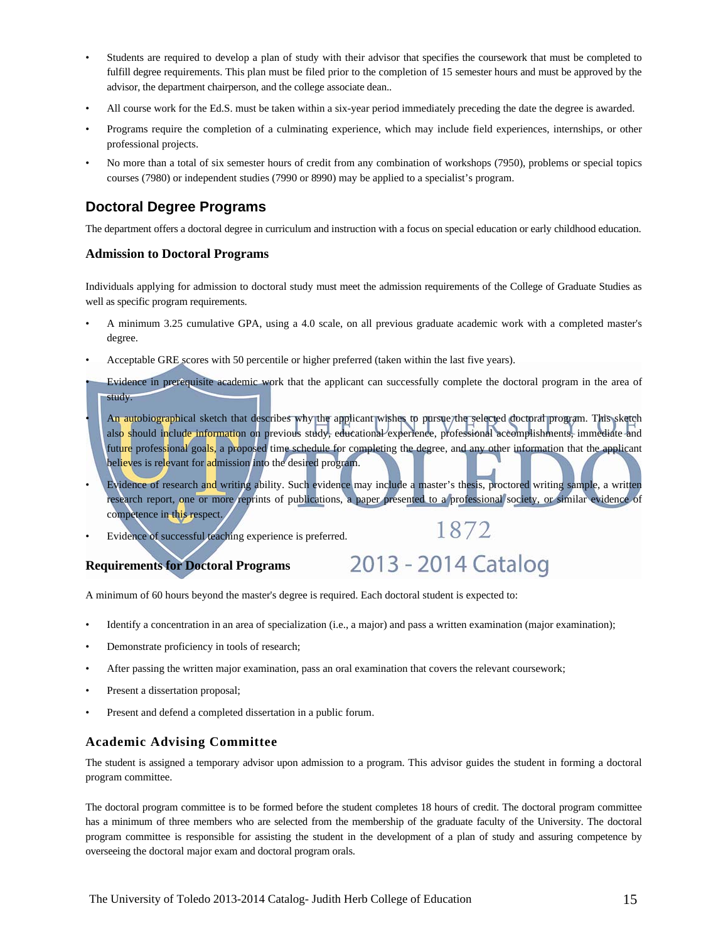- Students are required to develop a plan of study with their advisor that specifies the coursework that must be completed to fulfill degree requirements. This plan must be filed prior to the completion of 15 semester hours and must be approved by the advisor, the department chairperson, and the college associate dean..
- All course work for the Ed.S. must be taken within a six-year period immediately preceding the date the degree is awarded.
- Programs require the completion of a culminating experience, which may include field experiences, internships, or other professional projects.
- No more than a total of six semester hours of credit from any combination of workshops (7950), problems or special topics courses (7980) or independent studies (7990 or 8990) may be applied to a specialist's program.

### **Doctoral Degree Programs**

The department offers a doctoral degree in curriculum and instruction with a focus on special education or early childhood education.

#### **Admission to Doctoral Programs**

Individuals applying for admission to doctoral study must meet the admission requirements of the College of Graduate Studies as well as specific program requirements.

- A minimum 3.25 cumulative GPA, using a 4.0 scale, on all previous graduate academic work with a completed master's degree.
- Acceptable GRE scores with 50 percentile or higher preferred (taken within the last five years).
- Evidence in prerequisite academic work that the applicant can successfully complete the doctoral program in the area of study.
- An autobiographical sketch that describes why the applicant wishes to pursue/the selected doctoral program. This sketch also should include information on previous study, educational experience, professional accomplishments, immediate and future professional goals, a proposed time schedule for completing the degree, and any other information that the applicant believes is relevant for admission into the desired program.
- Evidence of research and writing ability. Such evidence may include a master's thesis, proctored writing sample, a written research report, one or more reprints of publications, a paper presented to a professional society, or similar evidence of competence in this respect. 1872

2013 - 2014 Catalog

Evidence of successful teaching experience is preferred.

#### **Requirements for Doctoral Programs**

A minimum of 60 hours beyond the master's degree is required. Each doctoral student is expected to:

- Identify a concentration in an area of specialization (i.e., a major) and pass a written examination (major examination);
- Demonstrate proficiency in tools of research;
- After passing the written major examination, pass an oral examination that covers the relevant coursework;
- Present a dissertation proposal;
- Present and defend a completed dissertation in a public forum.

### **Academic Advising Committee**

The student is assigned a temporary advisor upon admission to a program. This advisor guides the student in forming a doctoral program committee.

The doctoral program committee is to be formed before the student completes 18 hours of credit. The doctoral program committee has a minimum of three members who are selected from the membership of the graduate faculty of the University. The doctoral program committee is responsible for assisting the student in the development of a plan of study and assuring competence by overseeing the doctoral major exam and doctoral program orals.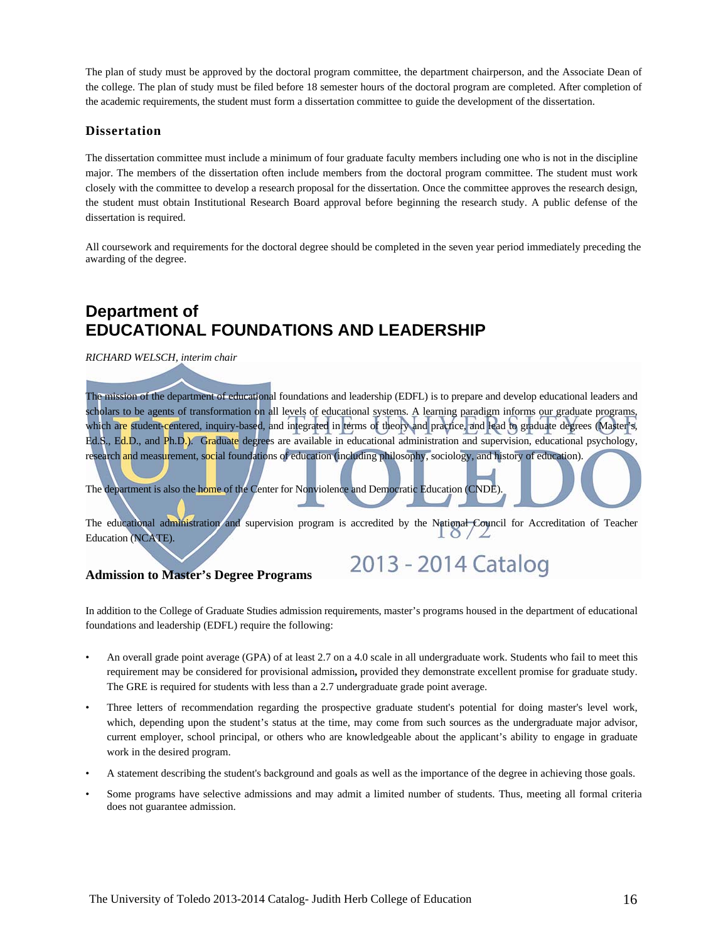The plan of study must be approved by the doctoral program committee, the department chairperson, and the Associate Dean of the college. The plan of study must be filed before 18 semester hours of the doctoral program are completed. After completion of the academic requirements, the student must form a dissertation committee to guide the development of the dissertation.

#### **Dissertation**

The dissertation committee must include a minimum of four graduate faculty members including one who is not in the discipline major. The members of the dissertation often include members from the doctoral program committee. The student must work closely with the committee to develop a research proposal for the dissertation. Once the committee approves the research design, the student must obtain Institutional Research Board approval before beginning the research study. A public defense of the dissertation is required.

All coursework and requirements for the doctoral degree should be completed in the seven year period immediately preceding the awarding of the degree.

## **Department of EDUCATIONAL FOUNDATIONS AND LEADERSHIP**

*RICHARD WELSCH, interim chair* 

The mission of the department of educational foundations and leadership (EDFL) is to prepare and develop educational leaders and scholars to be agents of transformation on all levels of educational systems. A learning paradigm informs our graduate programs, which are student-centered, inquiry-based, and integrated in terms of theory and practice, and lead to graduate degrees (Master's, Ed.S., Ed.D., and Ph.D.). Graduate degrees are available in educational administration and supervision, educational psychology, research and measurement, social foundations of education (including philosophy, sociology, and history of education).

The department is also the home of the Center for Nonviolence and Democratic Education (CNDE).

The educational administration and supervision program is accredited by the National Council for Accreditation of Teacher  $0/2$ Education (NCATE).

2013 - 2014 Catalog

#### **Admission to Master's Degree Programs**

In addition to the College of Graduate Studies admission requirements, master's programs housed in the department of educational foundations and leadership (EDFL) require the following:

- An overall grade point average (GPA) of at least 2.7 on a 4.0 scale in all undergraduate work. Students who fail to meet this requirement may be considered for provisional admission**,** provided they demonstrate excellent promise for graduate study. The GRE is required for students with less than a 2.7 undergraduate grade point average.
- Three letters of recommendation regarding the prospective graduate student's potential for doing master's level work, which, depending upon the student's status at the time, may come from such sources as the undergraduate major advisor, current employer, school principal, or others who are knowledgeable about the applicant's ability to engage in graduate work in the desired program.
- A statement describing the student's background and goals as well as the importance of the degree in achieving those goals.
- Some programs have selective admissions and may admit a limited number of students. Thus, meeting all formal criteria does not guarantee admission.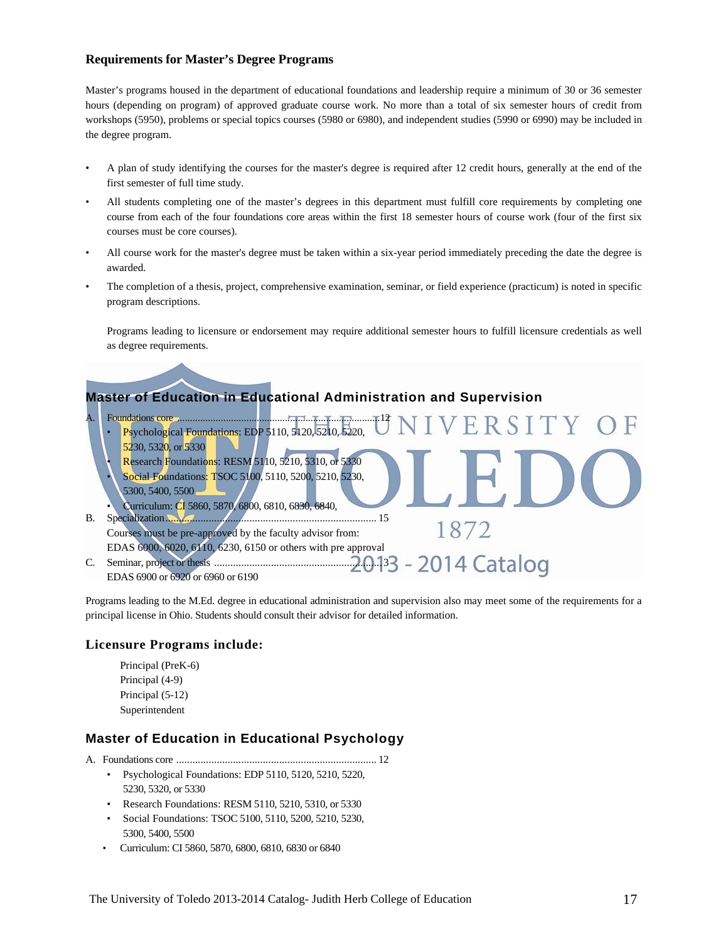### **Requirements for Master's Degree Programs**

Master's programs housed in the department of educational foundations and leadership require a minimum of 30 or 36 semester hours (depending on program) of approved graduate course work. No more than a total of six semester hours of credit from workshops (5950), problems or special topics courses (5980 or 6980), and independent studies (5990 or 6990) may be included in the degree program.

- A plan of study identifying the courses for the master's degree is required after 12 credit hours, generally at the end of the first semester of full time study.
- All students completing one of the master's degrees in this department must fulfill core requirements by completing one course from each of the four foundations core areas within the first 18 semester hours of course work (four of the first six courses must be core courses).
- All course work for the master's degree must be taken within a six-year period immediately preceding the date the degree is awarded.
- The completion of a thesis, project, comprehensive examination, seminar, or field experience (practicum) is noted in specific program descriptions.

 Programs leading to licensure or endorsement may require additional semester hours to fulfill licensure credentials as well as degree requirements.



A. Foundations core ............................................................................... 12 ERSITY • Psychological Foundations: EDP 5110, 5120, 5210, 5220, 5230, 5320, or 5330 • Research Foundations: RESM 5110, 5210, 5310, or 5330 • Social Foundations: TSOC 5100, 5110, 5200, 5210, 5230, 5300, 5400, 5500 • Curriculum: CI 5860, 5870, 6800, 6810, 6830, 6840, B. Specialization .............................................................................. 15 1872 Courses must be pre-approved by the faculty advisor from: EDAS 6000, 6020, 6110, 6230, 6150 or others with pre approval 2014 Catalog C. Seminar, project or thesis .............................................................. 3 EDAS 6900 or 6920 or 6960 or 6190

Programs leading to the M.Ed. degree in educational administration and supervision also may meet some of the requirements for a principal license in Ohio. Students should consult their advisor for detailed information.

#### **Licensure Programs include:**

Principal (PreK-6) Principal (4-9) Principal (5-12) Superintendent

### **Master of Education in Educational Psychology**

- A. Foundations core .......................................................................... 12
	- Psychological Foundations: EDP 5110, 5120, 5210, 5220, 5230, 5320, or 5330
	- Research Foundations: RESM 5110, 5210, 5310, or 5330
	- Social Foundations: TSOC 5100, 5110, 5200, 5210, 5230, 5300, 5400, 5500
	- Curriculum: CI 5860, 5870, 6800, 6810, 6830 or 6840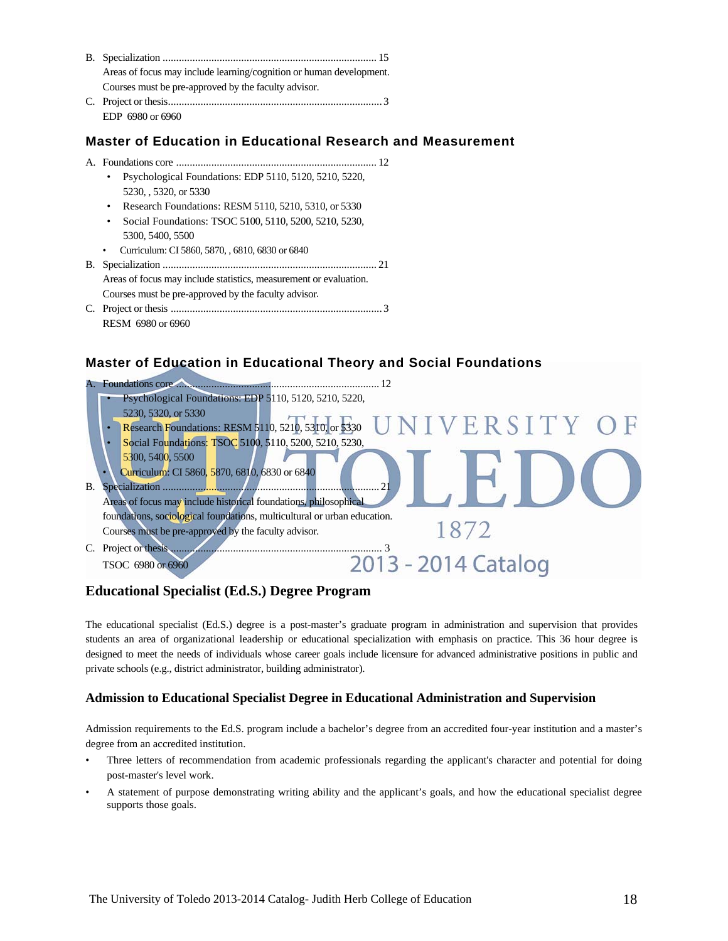| Areas of focus may include learning/cognition or human development. |
|---------------------------------------------------------------------|
| Courses must be pre-approved by the faculty advisor.                |
|                                                                     |
| EDP 6980 or 6960                                                    |

### **Master of Education in Educational Research and Measurement**

- A. Foundations core .......................................................................... 12
	- Psychological Foundations: EDP 5110, 5120, 5210, 5220, 5230, , 5320, or 5330
	- Research Foundations: RESM 5110, 5210, 5310, or 5330
	- Social Foundations: TSOC 5100, 5110, 5200, 5210, 5230, 5300, 5400, 5500
	- Curriculum: CI 5860, 5870, , 6810, 6830 or 6840

B. Specialization ............................................................................... 21 Areas of focus may include statistics, measurement or evaluation. Courses must be pre-approved by the faculty advisor*.* 

C. Project or thesis .............................................................................. 3 RESM 6980 or 6960

### **Master of Education in Educational Theory and Social Foundations**



### **Educational Specialist (Ed.S.) Degree Program**

The educational specialist (Ed.S.) degree is a post-master's graduate program in administration and supervision that provides students an area of organizational leadership or educational specialization with emphasis on practice. This 36 hour degree is designed to meet the needs of individuals whose career goals include licensure for advanced administrative positions in public and private schools (e.g., district administrator, building administrator).

### **Admission to Educational Specialist Degree in Educational Administration and Supervision**

Admission requirements to the Ed.S. program include a bachelor's degree from an accredited four-year institution and a master's degree from an accredited institution.

- Three letters of recommendation from academic professionals regarding the applicant's character and potential for doing post-master's level work.
- A statement of purpose demonstrating writing ability and the applicant's goals, and how the educational specialist degree supports those goals.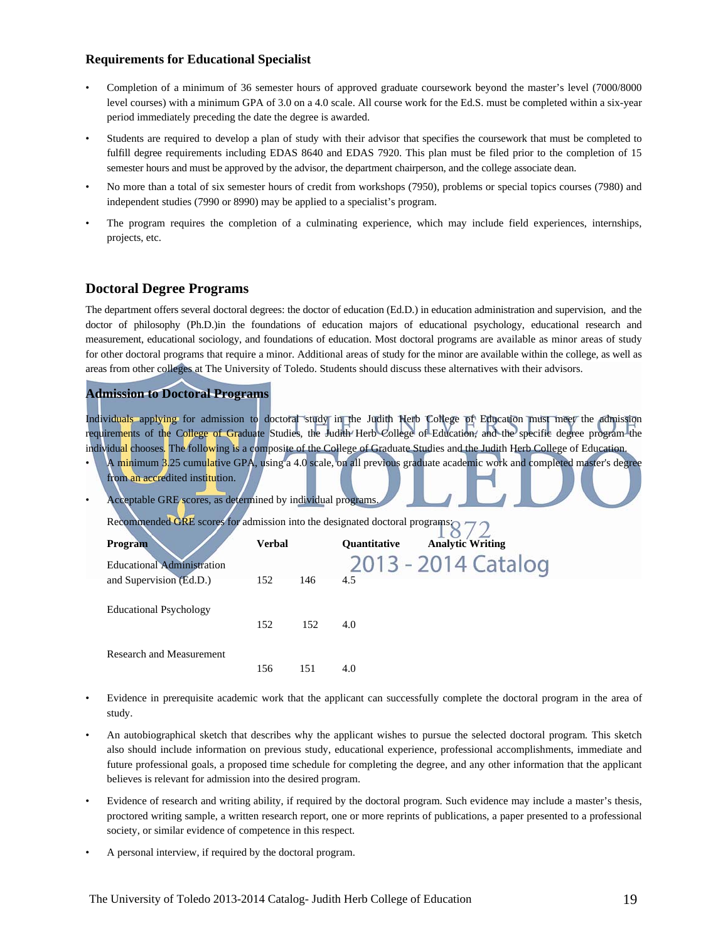### **Requirements for Educational Specialist**

- Completion of a minimum of 36 semester hours of approved graduate coursework beyond the master's level (7000/8000 level courses) with a minimum GPA of 3.0 on a 4.0 scale. All course work for the Ed.S. must be completed within a six-year period immediately preceding the date the degree is awarded.
- Students are required to develop a plan of study with their advisor that specifies the coursework that must be completed to fulfill degree requirements including EDAS 8640 and EDAS 7920. This plan must be filed prior to the completion of 15 semester hours and must be approved by the advisor, the department chairperson, and the college associate dean.
- No more than a total of six semester hours of credit from workshops (7950), problems or special topics courses (7980) and independent studies (7990 or 8990) may be applied to a specialist's program.
- The program requires the completion of a culminating experience, which may include field experiences, internships, projects, etc.

### **Doctoral Degree Programs**

The department offers several doctoral degrees: the doctor of education (Ed.D.) in education administration and supervision, and the doctor of philosophy (Ph.D.)in the foundations of education majors of educational psychology, educational research and measurement, educational sociology, and foundations of education. Most doctoral programs are available as minor areas of study for other doctoral programs that require a minor. Additional areas of study for the minor are available within the college, as well as areas from other colleges at The University of Toledo. Students should discuss these alternatives with their advisors.

### **Admission to Doctoral Programs**

Individuals applying for admission to doctoral study in the Judith Herb College of Education must meet the admission requirements of the College of Graduate Studies, the Judith Herb College of Education, and the specific degree program the individual chooses. The following is a composite of the College of Graduate Studies and the Judith Herb College of Education.

- A minimum 3.25 cumulative GPA, using a 4.0 scale, on all previous graduate academic work and completed master's degree
- from an accredited institution. • Acceptable GRE scores, as determined by individual programs. Recommended GRE scores for admission into the designated doctoral programs: **Program Verbal Quantitative Analytic Writing** 2013 - 2014 Catalog Educational Administration and Supervision (Ed.D.) 152 146 4.5 Educational Psychology 152 152 4.0 Research and Measurement
- Evidence in prerequisite academic work that the applicant can successfully complete the doctoral program in the area of study.
- An autobiographical sketch that describes why the applicant wishes to pursue the selected doctoral program*.* This sketch also should include information on previous study, educational experience, professional accomplishments, immediate and future professional goals, a proposed time schedule for completing the degree, and any other information that the applicant believes is relevant for admission into the desired program.
- Evidence of research and writing ability, if required by the doctoral program. Such evidence may include a master's thesis, proctored writing sample, a written research report, one or more reprints of publications, a paper presented to a professional society, or similar evidence of competence in this respect.
- A personal interview, if required by the doctoral program.

156 151 4.0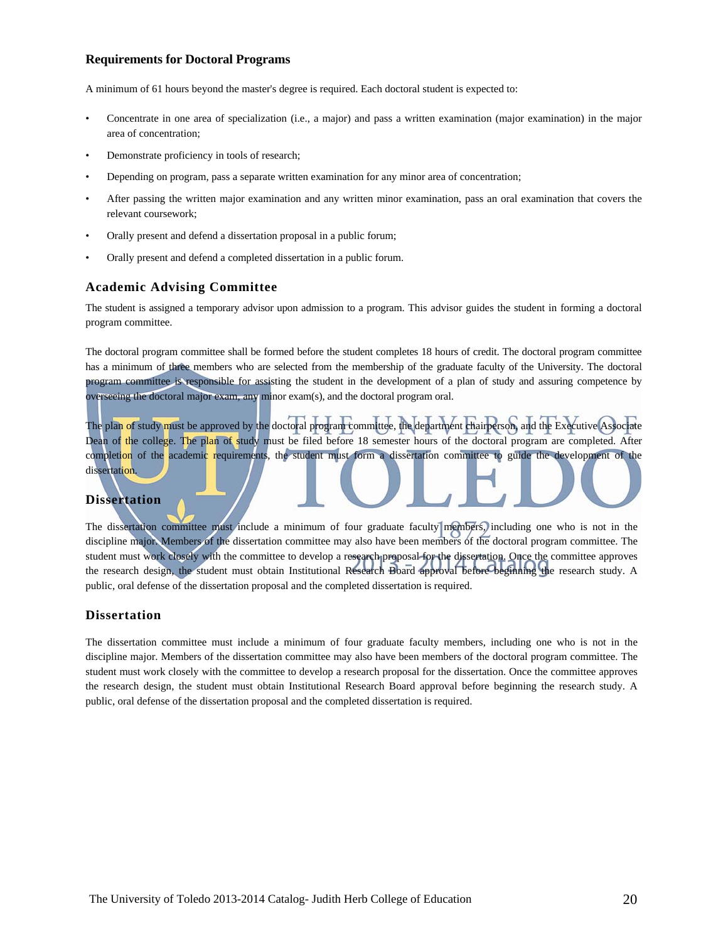### **Requirements for Doctoral Programs**

A minimum of 61 hours beyond the master's degree is required. Each doctoral student is expected to:

- Concentrate in one area of specialization (i.e., a major) and pass a written examination (major examination) in the major area of concentration;
- Demonstrate proficiency in tools of research;
- Depending on program, pass a separate written examination for any minor area of concentration;
- After passing the written major examination and any written minor examination, pass an oral examination that covers the relevant coursework;
- Orally present and defend a dissertation proposal in a public forum;
- Orally present and defend a completed dissertation in a public forum.

#### **Academic Advising Committee**

The student is assigned a temporary advisor upon admission to a program. This advisor guides the student in forming a doctoral program committee.

The doctoral program committee shall be formed before the student completes 18 hours of credit. The doctoral program committee has a minimum of three members who are selected from the membership of the graduate faculty of the University. The doctoral program committee is responsible for assisting the student in the development of a plan of study and assuring competence by overseeing the doctoral major exam, any minor exam(s), and the doctoral program oral.

The plan of study must be approved by the doctoral program committee, the department chairperson, and the Executive Associate Dean of the college. The plan of study must be filed before 18 semester hours of the doctoral program are completed. After completion of the academic requirements, the student must form a dissertation committee to guide the development of the dissertation.

### **Dissertation**

The dissertation committee must include a minimum of four graduate faculty members, including one who is not in the discipline major. Members of the dissertation committee may also have been members of the doctoral program committee. The student must work closely with the committee to develop a research proposal for the dissertation. Once the committee approves the research design, the student must obtain Institutional Research Board approval before beginning the research study. A public, oral defense of the dissertation proposal and the completed dissertation is required.

#### **Dissertation**

The dissertation committee must include a minimum of four graduate faculty members, including one who is not in the discipline major. Members of the dissertation committee may also have been members of the doctoral program committee. The student must work closely with the committee to develop a research proposal for the dissertation. Once the committee approves the research design, the student must obtain Institutional Research Board approval before beginning the research study. A public, oral defense of the dissertation proposal and the completed dissertation is required.